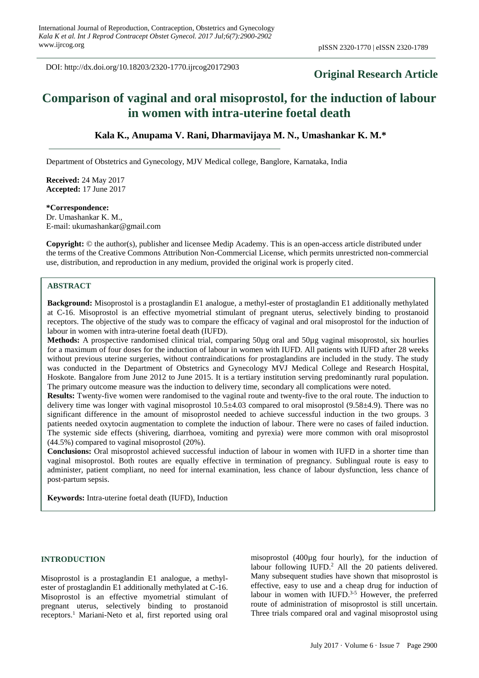DOI: http://dx.doi.org/10.18203/2320-1770.ijrcog20172903

## **Original Research Article**

# **Comparison of vaginal and oral misoprostol, for the induction of labour in women with intra-uterine foetal death**

**Kala K., Anupama V. Rani, Dharmavijaya M. N., Umashankar K. M.\***

Department of Obstetrics and Gynecology, MJV Medical college, Banglore, Karnataka, India

**Received:** 24 May 2017 **Accepted:** 17 June 2017

## **\*Correspondence:**

Dr. Umashankar K. M., E-mail: ukumashankar@gmail.com

**Copyright:** © the author(s), publisher and licensee Medip Academy. This is an open-access article distributed under the terms of the Creative Commons Attribution Non-Commercial License, which permits unrestricted non-commercial use, distribution, and reproduction in any medium, provided the original work is properly cited.

## **ABSTRACT**

**Background:** Misoprostol is a prostaglandin E1 analogue, a methyl-ester of prostaglandin E1 additionally methylated at C-16. Misoprostol is an effective myometrial stimulant of pregnant uterus, selectively binding to prostanoid receptors. The objective of the study was to compare the efficacy of vaginal and oral misoprostol for the induction of labour in women with intra-uterine foetal death (IUFD).

**Methods:** A prospective randomised clinical trial, comparing 50µg oral and 50µg vaginal misoprostol, six hourlies for a maximum of four doses for the induction of labour in women with IUFD. All patients with IUFD after 28 weeks without previous uterine surgeries, without contraindications for prostaglandins are included in the study. The study was conducted in the Department of Obstetrics and Gynecology MVJ Medical College and Research Hospital, Hoskote. Bangalore from June 2012 to June 2015. It is a tertiary institution serving predominantly rural population. The primary outcome measure was the induction to delivery time, secondary all complications were noted.

**Results:** Twenty-five women were randomised to the vaginal route and twenty-five to the oral route. The induction to delivery time was longer with vaginal misoprostol 10.5±4.03 compared to oral misoprostol (9.58±4.9). There was no significant difference in the amount of misoprostol needed to achieve successful induction in the two groups. 3 patients needed oxytocin augmentation to complete the induction of labour. There were no cases of failed induction. The systemic side effects (shivering, diarrhoea, vomiting and pyrexia) were more common with oral misoprostol (44.5%) compared to vaginal misoprostol (20%).

**Conclusions:** Oral misoprostol achieved successful induction of labour in women with IUFD in a shorter time than vaginal misoprostol. Both routes are equally effective in termination of pregnancy. Sublingual route is easy to administer, patient compliant, no need for internal examination, less chance of labour dysfunction, less chance of post-partum sepsis.

**Keywords:** Intra-uterine foetal death (IUFD), Induction

#### **INTRODUCTION**

Misoprostol is a prostaglandin E1 analogue, a methylester of prostaglandin E1 additionally methylated at C-16. Misoprostol is an effective myometrial stimulant of pregnant uterus, selectively binding to prostanoid receptors. <sup>1</sup> Mariani-Neto et al, first reported using oral

misoprostol (400µg four hourly), for the induction of labour following IUFD.<sup>2</sup> All the 20 patients delivered. Many subsequent studies have shown that misoprostol is effective, easy to use and a cheap drug for induction of labour in women with IUFD. $3-5$  However, the preferred route of administration of misoprostol is still uncertain. Three trials compared oral and vaginal misoprostol using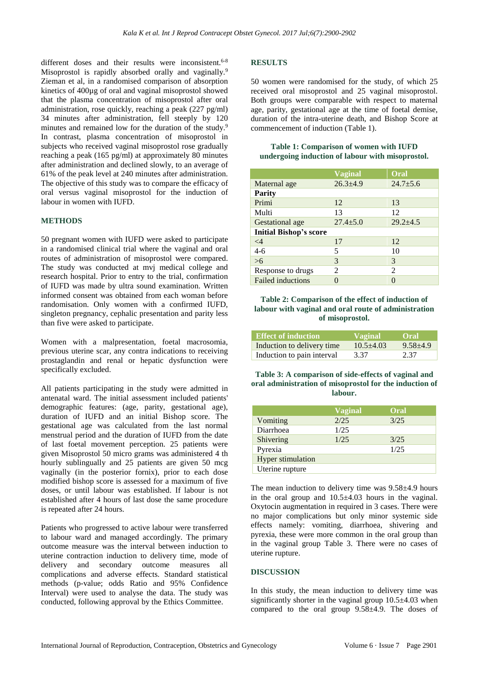different doses and their results were inconsistent.<sup>6-8</sup> Misoprostol is rapidly absorbed orally and vaginally.<sup>9</sup> Zieman et al, in a randomised comparison of absorption kinetics of 400µg of oral and vaginal misoprostol showed that the plasma concentration of misoprostol after oral administration, rose quickly, reaching a peak (227 pg/ml) 34 minutes after administration, fell steeply by 120 minutes and remained low for the duration of the study.<sup>9</sup> In contrast, plasma concentration of misoprostol in subjects who received vaginal misoprostol rose gradually reaching a peak (165 pg/ml) at approximately 80 minutes after administration and declined slowly, to an average of 61% of the peak level at 240 minutes after administration. The objective of this study was to compare the efficacy of oral versus vaginal misoprostol for the induction of labour in women with IUFD.

## **METHODS**

50 pregnant women with IUFD were asked to participate in a randomised clinical trial where the vaginal and oral routes of administration of misoprostol were compared. The study was conducted at mvj medical college and research hospital. Prior to entry to the trial, confirmation of IUFD was made by ultra sound examination. Written informed consent was obtained from each woman before randomisation. Only women with a confirmed IUFD, singleton pregnancy, cephalic presentation and parity less than five were asked to participate.

Women with a malpresentation, foetal macrosomia, previous uterine scar, any contra indications to receiving prostaglandin and renal or hepatic dysfunction were specifically excluded.

All patients participating in the study were admitted in antenatal ward. The initial assessment included patients' demographic features: (age, parity, gestational age), duration of IUFD and an initial Bishop score. The gestational age was calculated from the last normal menstrual period and the duration of IUFD from the date of last foetal movement perception. 25 patients were given Misoprostol 50 micro grams was administered 4 th hourly sublingually and 25 patients are given 50 mcg vaginally (in the posterior fornix), prior to each dose modified bishop score is assessed for a maximum of five doses, or until labour was established. If labour is not established after 4 hours of last dose the same procedure is repeated after 24 hours.

Patients who progressed to active labour were transferred to labour ward and managed accordingly. The primary outcome measure was the interval between induction to uterine contraction induction to delivery time, mode of delivery and secondary outcome measures all complications and adverse effects. Standard statistical methods (p-value; odds Ratio and 95% Confidence Interval) were used to analyse the data. The study was conducted, following approval by the Ethics Committee.

## **RESULTS**

50 women were randomised for the study, of which 25 received oral misoprostol and 25 vaginal misoprostol. Both groups were comparable with respect to maternal age, parity, gestational age at the time of foetal demise, duration of the intra-uterine death, and Bishop Score at commencement of induction (Table 1).

#### **Table 1: Comparison of women with IUFD undergoing induction of labour with misoprostol.**

|                               | <b>Vaginal</b> | Oral         |
|-------------------------------|----------------|--------------|
| Maternal age                  | $26.3 + 4.9$   | $24.7 + 5.6$ |
| <b>Parity</b>                 |                |              |
| Primi                         | 12             | 13           |
| Multi                         | 13             | 12           |
| <b>Gestational</b> age        | $27.4 \pm 5.0$ | $29.2 + 4.5$ |
| <b>Initial Bishop's score</b> |                |              |
| $\leq$ 4                      | 17             | 12           |
| $4 - 6$                       | 5              | 10           |
| $>6$                          | 3              | 3            |
| Response to drugs             | $\mathfrak{D}$ | 2            |
| <b>Failed inductions</b>      |                |              |

#### **Table 2: Comparison of the effect of induction of labour with vaginal and oral route of administration of misoprostol.**

| <b>Effect of induction</b> | <b>Vaginal</b> | MOral'         |
|----------------------------|----------------|----------------|
| Induction to delivery time | $10.5 + 4.03$  | $9.58 \pm 4.9$ |
| Induction to pain interval | 3.37           | 2.37           |

**Table 3: A comparison of side-effects of vaginal and oral administration of misoprostol for the induction of labour.**

|                          | Vaginal | Oral |
|--------------------------|---------|------|
| Vomiting                 | 2/25    | 3/25 |
| Diarrhoea                | 1/25    |      |
| Shivering                | 1/25    | 3/25 |
| Pyrexia                  |         | 1/25 |
| <b>Hyper stimulation</b> |         |      |
| Uterine rupture          |         |      |

The mean induction to delivery time was 9.58±4.9 hours in the oral group and  $10.5±4.03$  hours in the vaginal. Oxytocin augmentation in required in 3 cases. There were no major complications but only minor systemic side effects namely: vomiting, diarrhoea, shivering and pyrexia, these were more common in the oral group than in the vaginal group Table 3. There were no cases of uterine rupture.

## **DISCUSSION**

In this study, the mean induction to delivery time was significantly shorter in the vaginal group 10.5±4.03 when compared to the oral group 9.58±4.9. The doses of